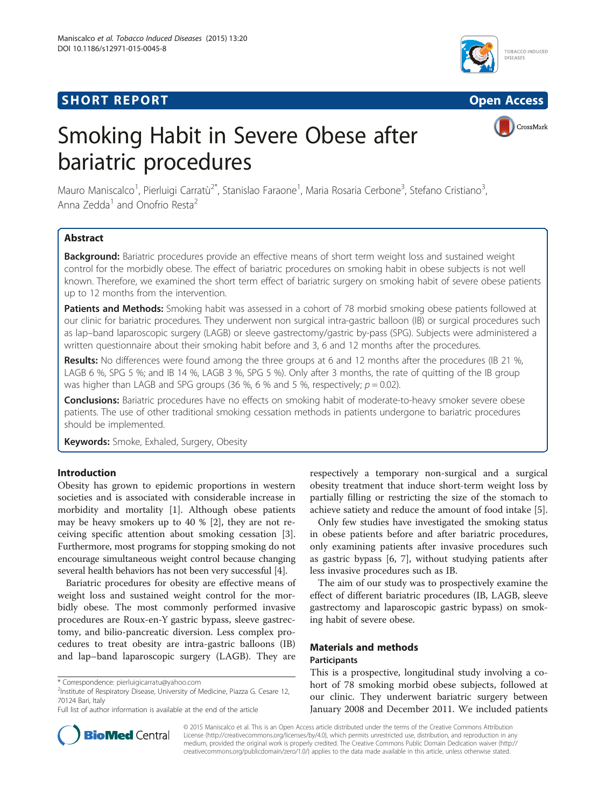# **SHORT REPORT SHORT CONSUMING THE CONSUMING THE CONSUMING THE CONSUMING THE CONSUMING THE CONSUMING THE CONSUMING THE CONSUMING THE CONSUMING THE CONSUMING THE CONSUMING THE CONSUMING THE CONSUMING THE CONSUMING THE CO**



CrossMark

# Smoking Habit in Severe Obese after bariatric procedures

Mauro Maniscalco<sup>1</sup>, Pierluigi Carratù<sup>2\*</sup>, Stanislao Faraone<sup>1</sup>, Maria Rosaria Cerbone<sup>3</sup>, Stefano Cristiano<sup>3</sup> , Anna Zedda<sup>1</sup> and Onofrio Resta<sup>2</sup>

# Abstract

Background: Bariatric procedures provide an effective means of short term weight loss and sustained weight control for the morbidly obese. The effect of bariatric procedures on smoking habit in obese subjects is not well known. Therefore, we examined the short term effect of bariatric surgery on smoking habit of severe obese patients up to 12 months from the intervention.

Patients and Methods: Smoking habit was assessed in a cohort of 78 morbid smoking obese patients followed at our clinic for bariatric procedures. They underwent non surgical intra-gastric balloon (IB) or surgical procedures such as lap–band laparoscopic surgery (LAGB) or sleeve gastrectomy/gastric by-pass (SPG). Subjects were administered a written questionnaire about their smoking habit before and 3, 6 and 12 months after the procedures.

Results: No differences were found among the three groups at 6 and 12 months after the procedures (IB 21 %, LAGB 6 %, SPG 5 %; and IB 14 %, LAGB 3 %, SPG 5 %). Only after 3 months, the rate of quitting of the IB group was higher than LAGB and SPG groups (36 %, 6 % and 5 %, respectively;  $p = 0.02$ ).

**Conclusions:** Bariatric procedures have no effects on smoking habit of moderate-to-heavy smoker severe obese patients. The use of other traditional smoking cessation methods in patients undergone to bariatric procedures should be implemented.

**Keywords:** Smoke, Exhaled, Surgery, Obesity

# Introduction

Obesity has grown to epidemic proportions in western societies and is associated with considerable increase in morbidity and mortality [\[1](#page-3-0)]. Although obese patients may be heavy smokers up to 40 % [[2\]](#page-3-0), they are not receiving specific attention about smoking cessation [\[3](#page-3-0)]. Furthermore, most programs for stopping smoking do not encourage simultaneous weight control because changing several health behaviors has not been very successful [[4](#page-3-0)].

Bariatric procedures for obesity are effective means of weight loss and sustained weight control for the morbidly obese. The most commonly performed invasive procedures are Roux-en-Y gastric bypass, sleeve gastrectomy, and bilio-pancreatic diversion. Less complex procedures to treat obesity are intra-gastric balloons (IB) and lap–band laparoscopic surgery (LAGB). They are



Only few studies have investigated the smoking status in obese patients before and after bariatric procedures, only examining patients after invasive procedures such as gastric bypass [[6, 7](#page-3-0)], without studying patients after less invasive procedures such as IB.

The aim of our study was to prospectively examine the effect of different bariatric procedures (IB, LAGB, sleeve gastrectomy and laparoscopic gastric bypass) on smoking habit of severe obese.

# Materials and methods **Participants**

This is a prospective, longitudinal study involving a cohort of 78 smoking morbid obese subjects, followed at our clinic. They underwent bariatric surgery between January 2008 and December 2011. We included patients



© 2015 Maniscalco et al. This is an Open Access article distributed under the terms of the Creative Commons Attribution License (<http://creativecommons.org/licenses/by/4.0>), which permits unrestricted use, distribution, and reproduction in any medium, provided the original work is properly credited. The Creative Commons Public Domain Dedication waiver [\(http://](http://creativecommons.org/publicdomain/zero/1.0/) [creativecommons.org/publicdomain/zero/1.0/\)](http://creativecommons.org/publicdomain/zero/1.0/) applies to the data made available in this article, unless otherwise stated.

<sup>\*</sup> Correspondence: [pierluigicarratu@yahoo.com](mailto:pierluigicarratu@yahoo.com) <sup>2</sup>

<sup>&</sup>lt;sup>2</sup>Institute of Respiratory Disease, University of Medicine, Piazza G. Cesare 12, 70124 Bari, Italy

Full list of author information is available at the end of the article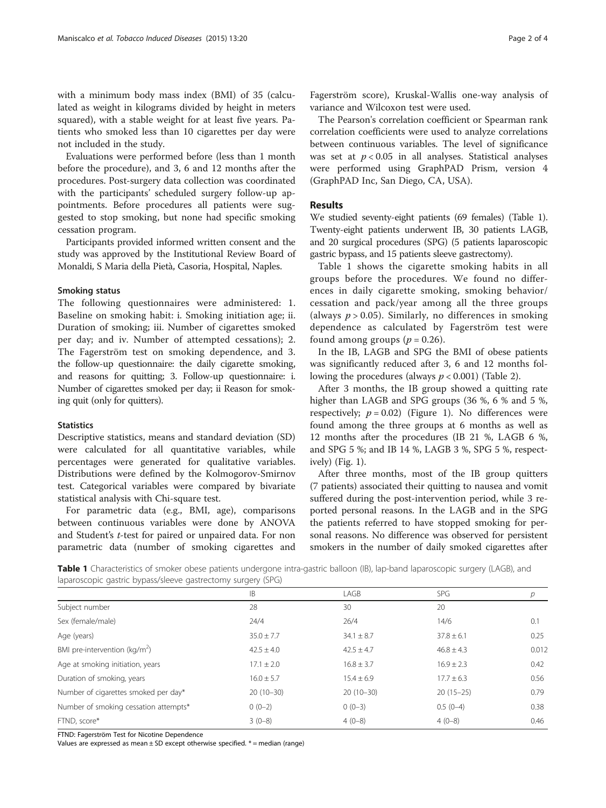with a minimum body mass index (BMI) of 35 (calculated as weight in kilograms divided by height in meters squared), with a stable weight for at least five years. Patients who smoked less than 10 cigarettes per day were not included in the study.

Evaluations were performed before (less than 1 month before the procedure), and 3, 6 and 12 months after the procedures. Post-surgery data collection was coordinated with the participants' scheduled surgery follow-up appointments. Before procedures all patients were suggested to stop smoking, but none had specific smoking cessation program.

Participants provided informed written consent and the study was approved by the Institutional Review Board of Monaldi, S Maria della Pietà, Casoria, Hospital, Naples.

## Smoking status

The following questionnaires were administered: 1. Baseline on smoking habit: i. Smoking initiation age; ii. Duration of smoking; iii. Number of cigarettes smoked per day; and iv. Number of attempted cessations); 2. The Fagerström test on smoking dependence, and 3. the follow-up questionnaire: the daily cigarette smoking, and reasons for quitting; 3. Follow-up questionnaire: i. Number of cigarettes smoked per day; ii Reason for smoking quit (only for quitters).

#### **Statistics**

Descriptive statistics, means and standard deviation (SD) were calculated for all quantitative variables, while percentages were generated for qualitative variables. Distributions were defined by the Kolmogorov-Smirnov test. Categorical variables were compared by bivariate statistical analysis with Chi-square test.

For parametric data (e.g., BMI, age), comparisons between continuous variables were done by ANOVA and Student's t-test for paired or unpaired data. For non parametric data (number of smoking cigarettes and

The Pearson's correlation coefficient or Spearman rank correlation coefficients were used to analyze correlations between continuous variables. The level of significance was set at  $p < 0.05$  in all analyses. Statistical analyses were performed using GraphPAD Prism, version 4 (GraphPAD Inc, San Diego, CA, USA).

## Results

We studied seventy-eight patients (69 females) (Table 1). Twenty-eight patients underwent IB, 30 patients LAGB, and 20 surgical procedures (SPG) (5 patients laparoscopic gastric bypass, and 15 patients sleeve gastrectomy).

Table 1 shows the cigarette smoking habits in all groups before the procedures. We found no differences in daily cigarette smoking, smoking behavior/ cessation and pack/year among all the three groups (always  $p > 0.05$ ). Similarly, no differences in smoking dependence as calculated by Fagerström test were found among groups ( $p = 0.26$ ).

In the IB, LAGB and SPG the BMI of obese patients was significantly reduced after 3, 6 and 12 months following the procedures (always  $p < 0.001$ ) (Table [2\)](#page-2-0).

After 3 months, the IB group showed a quitting rate higher than LAGB and SPG groups (36 %, 6 % and 5 %, respectively;  $p = 0.02$ ) (Figure [1](#page-2-0)). No differences were found among the three groups at 6 months as well as 12 months after the procedures (IB 21 %, LAGB 6 %, and SPG 5 %; and IB 14 %, LAGB 3 %, SPG 5 %, respectively) (Fig. [1\)](#page-2-0).

After three months, most of the IB group quitters (7 patients) associated their quitting to nausea and vomit suffered during the post-intervention period, while 3 reported personal reasons. In the LAGB and in the SPG the patients referred to have stopped smoking for personal reasons. No difference was observed for persistent smokers in the number of daily smoked cigarettes after

Table 1 Characteristics of smoker obese patients undergone intra-gastric balloon (IB), lap-band laparoscopic surgery (LAGB), and laparoscopic gastric bypass/sleeve gastrectomy surgery (SPG)

| IB             | LAGB           | <b>SPG</b>     | р     |
|----------------|----------------|----------------|-------|
| 28             | 30             | 20             |       |
| 24/4           | 26/4           | 14/6           | 0.1   |
| $35.0 \pm 7.7$ | $34.1 \pm 8.7$ | $37.8 \pm 6.1$ | 0.25  |
| $42.5 \pm 4.0$ | $42.5 \pm 4.7$ | $46.8 \pm 4.3$ | 0.012 |
| $17.1 \pm 2.0$ | $16.8 \pm 3.7$ | $16.9 \pm 2.3$ | 0.42  |
| $16.0 \pm 5.7$ | $15.4 \pm 6.9$ | $17.7 \pm 6.3$ | 0.56  |
| $20(10-30)$    | $20(10-30)$    | $20(15-25)$    | 0.79  |
| $0(0-2)$       | $0(0-3)$       | $0.5(0-4)$     | 0.38  |
| $3(0-8)$       | $4(0-8)$       | $4(0-8)$       | 0.46  |
|                |                |                |       |

FTND: Fagerström Test for Nicotine Dependence

Values are expressed as mean  $\pm$  SD except otherwise specified.  $*$  = median (range)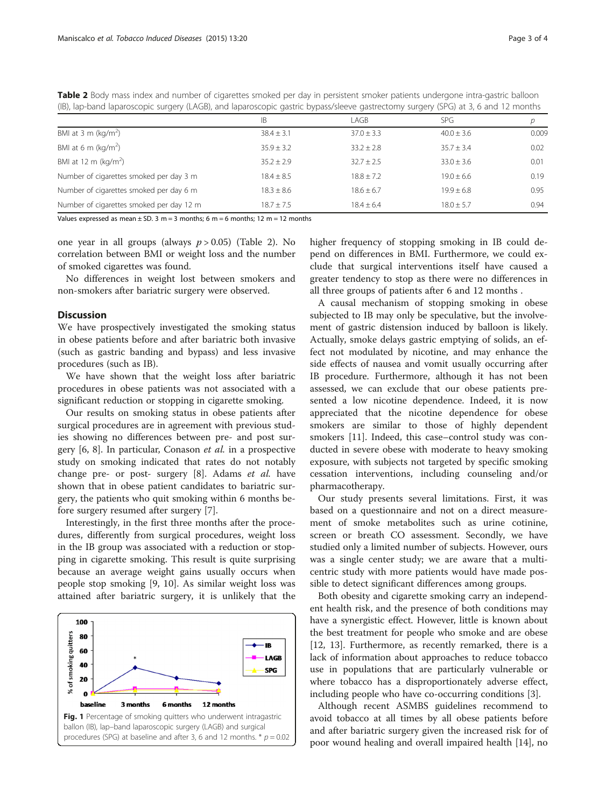| (IB), lap-band laparoscopic surgery (LAGB), and laparoscopic gastric bypass/sleeve gastrectomy surgery (SPG) at 3, 6 and 12 months |                |                |                |       |  |
|------------------------------------------------------------------------------------------------------------------------------------|----------------|----------------|----------------|-------|--|
|                                                                                                                                    | ΙB             | LAGB           | <b>SPG</b>     |       |  |
| BMI at 3 m (kg/m <sup>2</sup> )                                                                                                    | $38.4 \pm 3.1$ | $37.0 + 3.3$   | $40.0 + 3.6$   | 0.009 |  |
| BMI at 6 m (kg/m <sup>2</sup> )                                                                                                    | $35.9 \pm 3.2$ | $33.2 + 2.8$   | $35.7 + 3.4$   | 0.02  |  |
| BMI at 12 m ( $\text{kg/m}^2$ )                                                                                                    | $35.2 + 2.9$   | $32.7 + 2.5$   | $33.0 + 3.6$   | 0.01  |  |
| Number of cigarettes smoked per day 3 m                                                                                            | $18.4 \pm 8.5$ | $18.8 + 7.2$   | $19.0 + 6.6$   | 0.19  |  |
| Number of cigarettes smoked per day 6 m                                                                                            | $18.3 \pm 8.6$ | $18.6 \pm 6.7$ | $19.9 + 6.8$   | 0.95  |  |
| Number of cigarettes smoked per day 12 m                                                                                           | $18.7 \pm 7.5$ | $18.4 \pm 6.4$ | $18.0 \pm 5.7$ | 0.94  |  |

<span id="page-2-0"></span>Table 2 Body mass index and number of cigarettes smoked per day in persistent smoker patients undergone intra-gastric balloon

Values expressed as mean  $\pm$  SD. 3 m = 3 months; 6 m = 6 months; 12 m = 12 months

one year in all groups (always  $p > 0.05$ ) (Table 2). No correlation between BMI or weight loss and the number of smoked cigarettes was found.

No differences in weight lost between smokers and non-smokers after bariatric surgery were observed.

#### **Discussion**

We have prospectively investigated the smoking status in obese patients before and after bariatric both invasive (such as gastric banding and bypass) and less invasive procedures (such as IB).

We have shown that the weight loss after bariatric procedures in obese patients was not associated with a significant reduction or stopping in cigarette smoking.

Our results on smoking status in obese patients after surgical procedures are in agreement with previous studies showing no differences between pre- and post surgery [[6](#page-3-0), [8\]](#page-3-0). In particular, Conason et al. in a prospective study on smoking indicated that rates do not notably change pre- or post- surgery [\[8\]](#page-3-0). Adams et al. have shown that in obese patient candidates to bariatric surgery, the patients who quit smoking within 6 months before surgery resumed after surgery [\[7\]](#page-3-0).

Interestingly, in the first three months after the procedures, differently from surgical procedures, weight loss in the IB group was associated with a reduction or stopping in cigarette smoking. This result is quite surprising because an average weight gains usually occurs when people stop smoking [[9, 10\]](#page-3-0). As similar weight loss was attained after bariatric surgery, it is unlikely that the



higher frequency of stopping smoking in IB could depend on differences in BMI. Furthermore, we could exclude that surgical interventions itself have caused a greater tendency to stop as there were no differences in all three groups of patients after 6 and 12 months .

A causal mechanism of stopping smoking in obese subjected to IB may only be speculative, but the involvement of gastric distension induced by balloon is likely. Actually, smoke delays gastric emptying of solids, an effect not modulated by nicotine, and may enhance the side effects of nausea and vomit usually occurring after IB procedure. Furthermore, although it has not been assessed, we can exclude that our obese patients presented a low nicotine dependence. Indeed, it is now appreciated that the nicotine dependence for obese smokers are similar to those of highly dependent smokers [[11\]](#page-3-0). Indeed, this case–control study was conducted in severe obese with moderate to heavy smoking exposure, with subjects not targeted by specific smoking cessation interventions, including counseling and/or pharmacotherapy.

Our study presents several limitations. First, it was based on a questionnaire and not on a direct measurement of smoke metabolites such as urine cotinine, screen or breath CO assessment. Secondly, we have studied only a limited number of subjects. However, ours was a single center study; we are aware that a multicentric study with more patients would have made possible to detect significant differences among groups.

Both obesity and cigarette smoking carry an independent health risk, and the presence of both conditions may have a synergistic effect. However, little is known about the best treatment for people who smoke and are obese [[12, 13](#page-3-0)]. Furthermore, as recently remarked, there is a lack of information about approaches to reduce tobacco use in populations that are particularly vulnerable or where tobacco has a disproportionately adverse effect, including people who have co-occurring conditions [[3](#page-3-0)].

Although recent ASMBS guidelines recommend to avoid tobacco at all times by all obese patients before and after bariatric surgery given the increased risk for of poor wound healing and overall impaired health [[14\]](#page-3-0), no